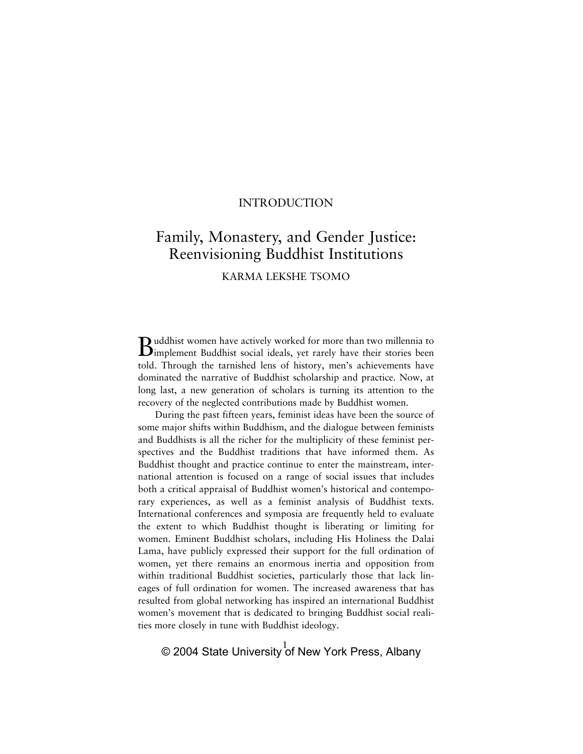## INTRODUCTION

## Family, Monastery, and Gender Justice: Reenvisioning Buddhist Institutions KARMA LEKSHE TSOMO

Buddhist women have actively worked for more than two millennia to implement Buddhist social ideals, yet rarely have their stories been told. Through the tarnished lens of history, men's achievements have dominated the narrative of Buddhist scholarship and practice. Now, at long last, a new generation of scholars is turning its attention to the recovery of the neglected contributions made by Buddhist women.

During the past fifteen years, feminist ideas have been the source of some major shifts within Buddhism, and the dialogue between feminists and Buddhists is all the richer for the multiplicity of these feminist perspectives and the Buddhist traditions that have informed them. As Buddhist thought and practice continue to enter the mainstream, international attention is focused on a range of social issues that includes both a critical appraisal of Buddhist women's historical and contemporary experiences, as well as a feminist analysis of Buddhist texts. International conferences and symposia are frequently held to evaluate the extent to which Buddhist thought is liberating or limiting for women. Eminent Buddhist scholars, including His Holiness the Dalai Lama, have publicly expressed their support for the full ordination of women, yet there remains an enormous inertia and opposition from within traditional Buddhist societies, particularly those that lack lineages of full ordination for women. The increased awareness that has resulted from global networking has inspired an international Buddhist women's movement that is dedicated to bringing Buddhist social realities more closely in tune with Buddhist ideology.

# © 2004 State University $\frac{1}{1}$ of New York Press, Albany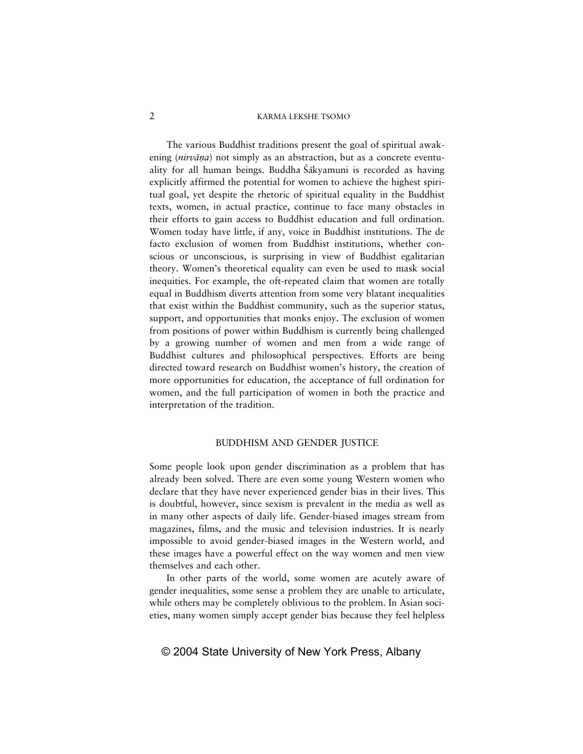The various Buddhist traditions present the goal of spiritual awakening (*nirvāņa*) not simply as an abstraction, but as a concrete eventuality for all human beings. Buddha Śākyamuni is recorded as having explicitly affirmed the potential for women to achieve the highest spiritual goal, yet despite the rhetoric of spiritual equality in the Buddhist texts, women, in actual practice, continue to face many obstacles in their efforts to gain access to Buddhist education and full ordination. Women today have little, if any, voice in Buddhist institutions. The de facto exclusion of women from Buddhist institutions, whether conscious or unconscious, is surprising in view of Buddhist egalitarian theory. Women's theoretical equality can even be used to mask social inequities. For example, the oft-repeated claim that women are totally equal in Buddhism diverts attention from some very blatant inequalities that exist within the Buddhist community, such as the superior status, support, and opportunities that monks enjoy. The exclusion of women from positions of power within Buddhism is currently being challenged by a growing number of women and men from a wide range of Buddhist cultures and philosophical perspectives. Efforts are being directed toward research on Buddhist women's history, the creation of more opportunities for education, the acceptance of full ordination for women, and the full participation of women in both the practice and interpretation of the tradition.

#### BUDDHISM AND GENDER JUSTICE

Some people look upon gender discrimination as a problem that has already been solved. There are even some young Western women who declare that they have never experienced gender bias in their lives. This is doubtful, however, since sexism is prevalent in the media as well as in many other aspects of daily life. Gender-biased images stream from magazines, films, and the music and television industries. It is nearly impossible to avoid gender-biased images in the Western world, and these images have a powerful effect on the way women and men view themselves and each other.

In other parts of the world, some women are acutely aware of gender inequalities, some sense a problem they are unable to articulate, while others may be completely oblivious to the problem. In Asian societies, many women simply accept gender bias because they feel helpless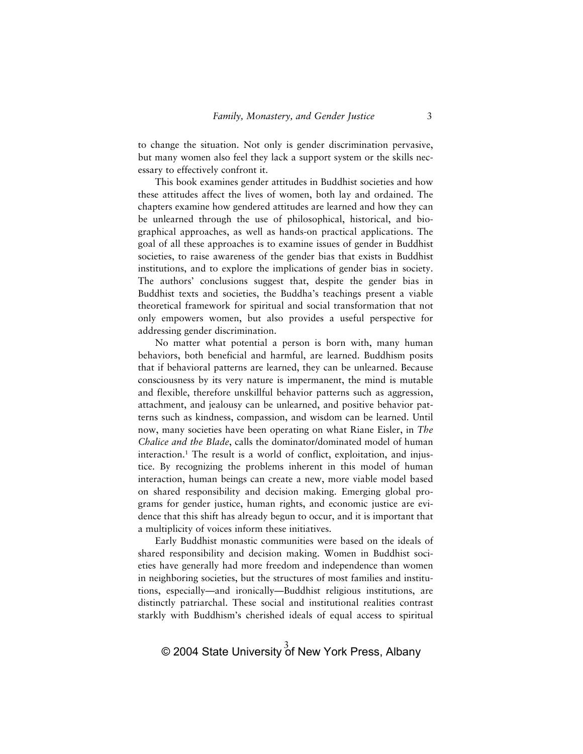to change the situation. Not only is gender discrimination pervasive, but many women also feel they lack a support system or the skills necessary to effectively confront it.

This book examines gender attitudes in Buddhist societies and how these attitudes affect the lives of women, both lay and ordained. The chapters examine how gendered attitudes are learned and how they can be unlearned through the use of philosophical, historical, and biographical approaches, as well as hands-on practical applications. The goal of all these approaches is to examine issues of gender in Buddhist societies, to raise awareness of the gender bias that exists in Buddhist institutions, and to explore the implications of gender bias in society. The authors' conclusions suggest that, despite the gender bias in Buddhist texts and societies, the Buddha's teachings present a viable theoretical framework for spiritual and social transformation that not only empowers women, but also provides a useful perspective for addressing gender discrimination.

No matter what potential a person is born with, many human behaviors, both beneficial and harmful, are learned. Buddhism posits that if behavioral patterns are learned, they can be unlearned. Because consciousness by its very nature is impermanent, the mind is mutable and flexible, therefore unskillful behavior patterns such as aggression, attachment, and jealousy can be unlearned, and positive behavior patterns such as kindness, compassion, and wisdom can be learned. Until now, many societies have been operating on what Riane Eisler, in *The Chalice and the Blade*, calls the dominator/dominated model of human interaction.1 The result is a world of conflict, exploitation, and injustice. By recognizing the problems inherent in this model of human interaction, human beings can create a new, more viable model based on shared responsibility and decision making. Emerging global programs for gender justice, human rights, and economic justice are evidence that this shift has already begun to occur, and it is important that a multiplicity of voices inform these initiatives.

Early Buddhist monastic communities were based on the ideals of shared responsibility and decision making. Women in Buddhist societies have generally had more freedom and independence than women in neighboring societies, but the structures of most families and institutions, especially—and ironically—Buddhist religious institutions, are distinctly patriarchal. These social and institutional realities contrast starkly with Buddhism's cherished ideals of equal access to spiritual

© 2004 State University  $\stackrel{3}{\text{o}}$ f New York Press, Albany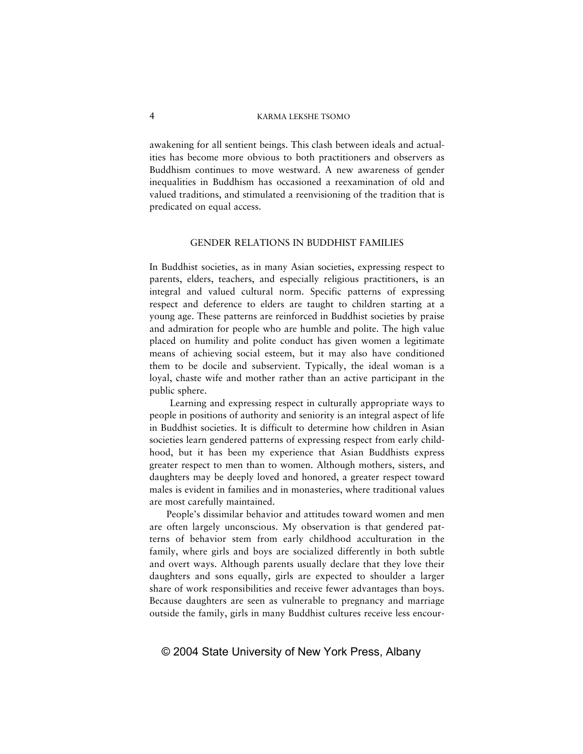awakening for all sentient beings. This clash between ideals and actualities has become more obvious to both practitioners and observers as Buddhism continues to move westward. A new awareness of gender inequalities in Buddhism has occasioned a reexamination of old and valued traditions, and stimulated a reenvisioning of the tradition that is predicated on equal access.

### GENDER RELATIONS IN BUDDHIST FAMILIES

In Buddhist societies, as in many Asian societies, expressing respect to parents, elders, teachers, and especially religious practitioners, is an integral and valued cultural norm. Specific patterns of expressing respect and deference to elders are taught to children starting at a young age. These patterns are reinforced in Buddhist societies by praise and admiration for people who are humble and polite. The high value placed on humility and polite conduct has given women a legitimate means of achieving social esteem, but it may also have conditioned them to be docile and subservient. Typically, the ideal woman is a loyal, chaste wife and mother rather than an active participant in the public sphere.

Learning and expressing respect in culturally appropriate ways to people in positions of authority and seniority is an integral aspect of life in Buddhist societies. It is difficult to determine how children in Asian societies learn gendered patterns of expressing respect from early childhood, but it has been my experience that Asian Buddhists express greater respect to men than to women. Although mothers, sisters, and daughters may be deeply loved and honored, a greater respect toward males is evident in families and in monasteries, where traditional values are most carefully maintained.

People's dissimilar behavior and attitudes toward women and men are often largely unconscious. My observation is that gendered patterns of behavior stem from early childhood acculturation in the family, where girls and boys are socialized differently in both subtle and overt ways. Although parents usually declare that they love their daughters and sons equally, girls are expected to shoulder a larger share of work responsibilities and receive fewer advantages than boys. Because daughters are seen as vulnerable to pregnancy and marriage outside the family, girls in many Buddhist cultures receive less encour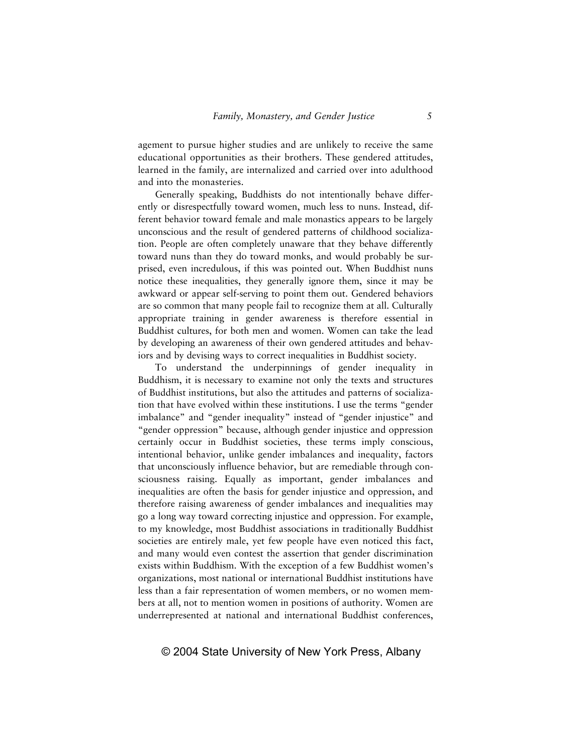agement to pursue higher studies and are unlikely to receive the same educational opportunities as their brothers. These gendered attitudes, learned in the family, are internalized and carried over into adulthood and into the monasteries.

Generally speaking, Buddhists do not intentionally behave differently or disrespectfully toward women, much less to nuns. Instead, different behavior toward female and male monastics appears to be largely unconscious and the result of gendered patterns of childhood socialization. People are often completely unaware that they behave differently toward nuns than they do toward monks, and would probably be surprised, even incredulous, if this was pointed out. When Buddhist nuns notice these inequalities, they generally ignore them, since it may be awkward or appear self-serving to point them out. Gendered behaviors are so common that many people fail to recognize them at all. Culturally appropriate training in gender awareness is therefore essential in Buddhist cultures, for both men and women. Women can take the lead by developing an awareness of their own gendered attitudes and behaviors and by devising ways to correct inequalities in Buddhist society.

To understand the underpinnings of gender inequality in Buddhism, it is necessary to examine not only the texts and structures of Buddhist institutions, but also the attitudes and patterns of socialization that have evolved within these institutions. I use the terms "gender imbalance" and "gender inequality" instead of "gender injustice" and "gender oppression" because, although gender injustice and oppression certainly occur in Buddhist societies, these terms imply conscious, intentional behavior, unlike gender imbalances and inequality, factors that unconsciously influence behavior, but are remediable through consciousness raising. Equally as important, gender imbalances and inequalities are often the basis for gender injustice and oppression, and therefore raising awareness of gender imbalances and inequalities may go a long way toward correcting injustice and oppression. For example, to my knowledge, most Buddhist associations in traditionally Buddhist societies are entirely male, yet few people have even noticed this fact, and many would even contest the assertion that gender discrimination exists within Buddhism. With the exception of a few Buddhist women's organizations, most national or international Buddhist institutions have less than a fair representation of women members, or no women members at all, not to mention women in positions of authority. Women are underrepresented at national and international Buddhist conferences,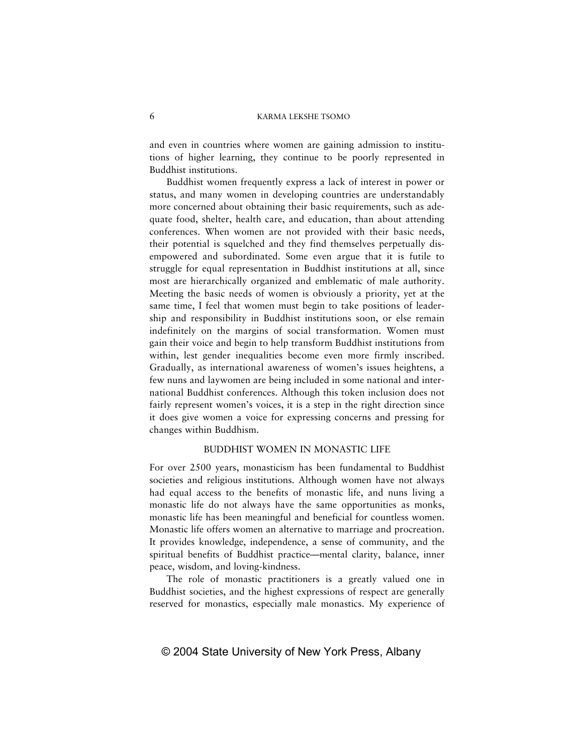and even in countries where women are gaining admission to institutions of higher learning, they continue to be poorly represented in Buddhist institutions.

Buddhist women frequently express a lack of interest in power or status, and many women in developing countries are understandably more concerned about obtaining their basic requirements, such as adequate food, shelter, health care, and education, than about attending conferences. When women are not provided with their basic needs, their potential is squelched and they find themselves perpetually disempowered and subordinated. Some even argue that it is futile to struggle for equal representation in Buddhist institutions at all, since most are hierarchically organized and emblematic of male authority. Meeting the basic needs of women is obviously a priority, yet at the same time, I feel that women must begin to take positions of leadership and responsibility in Buddhist institutions soon, or else remain indefinitely on the margins of social transformation. Women must gain their voice and begin to help transform Buddhist institutions from within, lest gender inequalities become even more firmly inscribed. Gradually, as international awareness of women's issues heightens, a few nuns and laywomen are being included in some national and international Buddhist conferences. Although this token inclusion does not fairly represent women's voices, it is a step in the right direction since it does give women a voice for expressing concerns and pressing for changes within Buddhism.

#### BUDDHIST WOMEN IN MONASTIC LIFE

For over 2500 years, monasticism has been fundamental to Buddhist societies and religious institutions. Although women have not always had equal access to the benefits of monastic life, and nuns living a monastic life do not always have the same opportunities as monks, monastic life has been meaningful and beneficial for countless women. Monastic life offers women an alternative to marriage and procreation. It provides knowledge, independence, a sense of community, and the spiritual benefits of Buddhist practice—mental clarity, balance, inner peace, wisdom, and loving-kindness.

The role of monastic practitioners is a greatly valued one in Buddhist societies, and the highest expressions of respect are generally reserved for monastics, especially male monastics. My experience of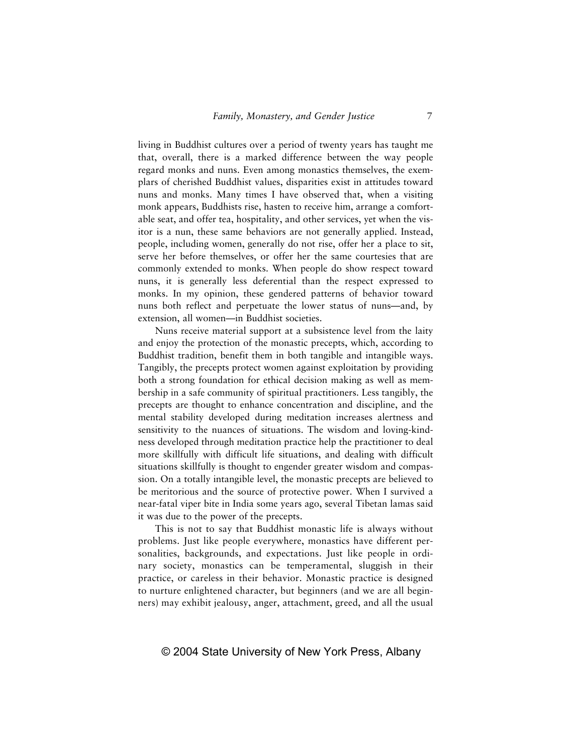living in Buddhist cultures over a period of twenty years has taught me that, overall, there is a marked difference between the way people regard monks and nuns. Even among monastics themselves, the exemplars of cherished Buddhist values, disparities exist in attitudes toward nuns and monks. Many times I have observed that, when a visiting monk appears, Buddhists rise, hasten to receive him, arrange a comfortable seat, and offer tea, hospitality, and other services, yet when the visitor is a nun, these same behaviors are not generally applied. Instead, people, including women, generally do not rise, offer her a place to sit, serve her before themselves, or offer her the same courtesies that are commonly extended to monks. When people do show respect toward nuns, it is generally less deferential than the respect expressed to monks. In my opinion, these gendered patterns of behavior toward nuns both reflect and perpetuate the lower status of nuns—and, by extension, all women—in Buddhist societies.

Nuns receive material support at a subsistence level from the laity and enjoy the protection of the monastic precepts, which, according to Buddhist tradition, benefit them in both tangible and intangible ways. Tangibly, the precepts protect women against exploitation by providing both a strong foundation for ethical decision making as well as membership in a safe community of spiritual practitioners. Less tangibly, the precepts are thought to enhance concentration and discipline, and the mental stability developed during meditation increases alertness and sensitivity to the nuances of situations. The wisdom and loving-kindness developed through meditation practice help the practitioner to deal more skillfully with difficult life situations, and dealing with difficult situations skillfully is thought to engender greater wisdom and compassion. On a totally intangible level, the monastic precepts are believed to be meritorious and the source of protective power. When I survived a near-fatal viper bite in India some years ago, several Tibetan lamas said it was due to the power of the precepts.

This is not to say that Buddhist monastic life is always without problems. Just like people everywhere, monastics have different personalities, backgrounds, and expectations. Just like people in ordinary society, monastics can be temperamental, sluggish in their practice, or careless in their behavior. Monastic practice is designed to nurture enlightened character, but beginners (and we are all beginners) may exhibit jealousy, anger, attachment, greed, and all the usual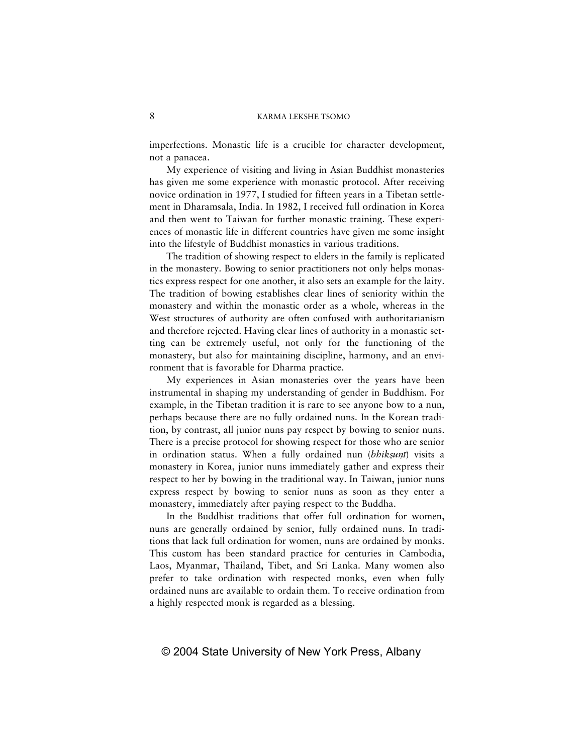imperfections. Monastic life is a crucible for character development, not a panacea.

My experience of visiting and living in Asian Buddhist monasteries has given me some experience with monastic protocol. After receiving novice ordination in 1977, I studied for fifteen years in a Tibetan settlement in Dharamsala, India. In 1982, I received full ordination in Korea and then went to Taiwan for further monastic training. These experiences of monastic life in different countries have given me some insight into the lifestyle of Buddhist monastics in various traditions.

The tradition of showing respect to elders in the family is replicated in the monastery. Bowing to senior practitioners not only helps monastics express respect for one another, it also sets an example for the laity. The tradition of bowing establishes clear lines of seniority within the monastery and within the monastic order as a whole, whereas in the West structures of authority are often confused with authoritarianism and therefore rejected. Having clear lines of authority in a monastic setting can be extremely useful, not only for the functioning of the monastery, but also for maintaining discipline, harmony, and an environment that is favorable for Dharma practice.

My experiences in Asian monasteries over the years have been instrumental in shaping my understanding of gender in Buddhism. For example, in the Tibetan tradition it is rare to see anyone bow to a nun, perhaps because there are no fully ordained nuns. In the Korean tradition, by contrast, all junior nuns pay respect by bowing to senior nuns. There is a precise protocol for showing respect for those who are senior in ordination status. When a fully ordained nun *(bhikṣuṇī)* visits a monastery in Korea, junior nuns immediately gather and express their respect to her by bowing in the traditional way. In Taiwan, junior nuns express respect by bowing to senior nuns as soon as they enter a monastery, immediately after paying respect to the Buddha.

In the Buddhist traditions that offer full ordination for women, nuns are generally ordained by senior, fully ordained nuns. In traditions that lack full ordination for women, nuns are ordained by monks. This custom has been standard practice for centuries in Cambodia, Laos, Myanmar, Thailand, Tibet, and Sri Lanka. Many women also prefer to take ordination with respected monks, even when fully ordained nuns are available to ordain them. To receive ordination from a highly respected monk is regarded as a blessing.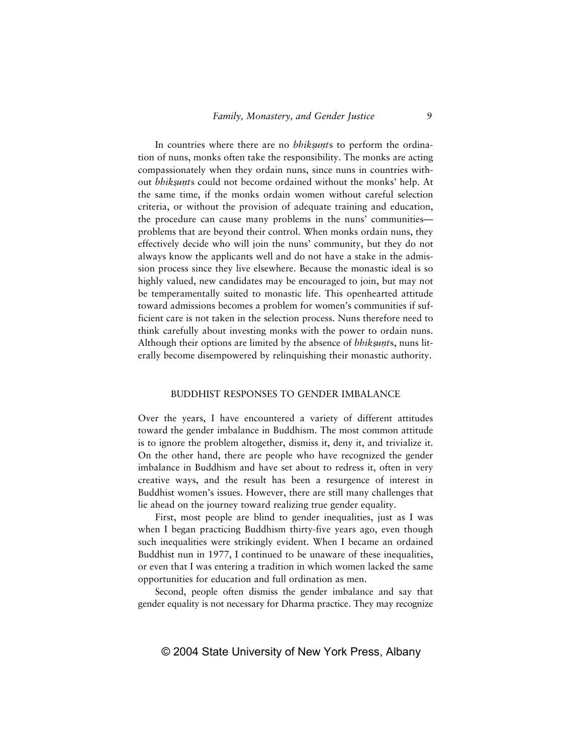In countries where there are no *bhiksunts* to perform the ordina-<br> *of* tune monks often take the representility. The monks are esting **the contracts where there are the contract of personnel in contract to the state** compassionately when they ordain nuns, since nuns in countries without *bhiksunts* could not become ordained without the monks' help. At the came time, if the monks early we may without earchel selection **the same time, if the monks ordain women without careful selection** criteria, or without the provision of adequate training and education, the procedure can cause many problems in the nuns' communities problems that are beyond their control. When monks ordain nuns, they effectively decide who will join the nuns' community, but they do not always know the applicants well and do not have a stake in the admission process since they live elsewhere. Because the monastic ideal is so highly valued, new candidates may be encouraged to join, but may not be temperamentally suited to monastic life. This openhearted attitude toward admissions becomes a problem for women's communities if sufficient care is not taken in the selection process. Nuns therefore need to think carefully about investing monks with the power to ordain nuns. Although their options are limited by the absence of *bhiksunts*, nuns lit-<br>
andly hacome disampowered by relinquishing their monoctic outhority **Thing agreems** their episons are infinited by the dissemble of *outhority*, then its evally become disempowered by relinquishing their monastic authority.

#### BUDDHIST RESPONSES TO GENDER IMBALANCE

Over the years, I have encountered a variety of different attitudes toward the gender imbalance in Buddhism. The most common attitude is to ignore the problem altogether, dismiss it, deny it, and trivialize it. On the other hand, there are people who have recognized the gender imbalance in Buddhism and have set about to redress it, often in very creative ways, and the result has been a resurgence of interest in Buddhist women's issues. However, there are still many challenges that lie ahead on the journey toward realizing true gender equality.

First, most people are blind to gender inequalities, just as I was when I began practicing Buddhism thirty-five years ago, even though such inequalities were strikingly evident. When I became an ordained Buddhist nun in 1977, I continued to be unaware of these inequalities, or even that I was entering a tradition in which women lacked the same opportunities for education and full ordination as men.

Second, people often dismiss the gender imbalance and say that gender equality is not necessary for Dharma practice. They may recognize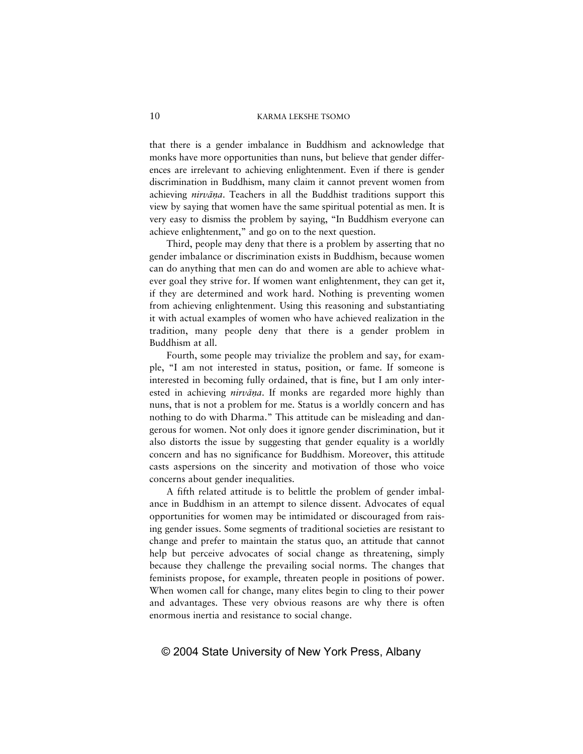that there is a gender imbalance in Buddhism and acknowledge that monks have more opportunities than nuns, but believe that gender differences are irrelevant to achieving enlightenment. Even if there is gender discrimination in Buddhism, many claim it cannot prevent women from achieving *nirvāna*. Teachers in all the Buddhist traditions support this view by saying that women have the same spiritual potential as men. It is very easy to dismiss the problem by saying, "In Buddhism everyone can achieve enlightenment," and go on to the next question.

Third, people may deny that there is a problem by asserting that no gender imbalance or discrimination exists in Buddhism, because women can do anything that men can do and women are able to achieve whatever goal they strive for. If women want enlightenment, they can get it, if they are determined and work hard. Nothing is preventing women from achieving enlightenment. Using this reasoning and substantiating it with actual examples of women who have achieved realization in the tradition, many people deny that there is a gender problem in Buddhism at all.

Fourth, some people may trivialize the problem and say, for example, "I am not interested in status, position, or fame. If someone is interested in becoming fully ordained, that is fine, but I am only interested in achieving *nirvāṇa*. If monks are regarded more highly than nuns, that is not a problem for me. Status is a worldly concern and has nothing to do with Dharma." This attitude can be misleading and dangerous for women. Not only does it ignore gender discrimination, but it also distorts the issue by suggesting that gender equality is a worldly concern and has no significance for Buddhism. Moreover, this attitude casts aspersions on the sincerity and motivation of those who voice concerns about gender inequalities.

A fifth related attitude is to belittle the problem of gender imbalance in Buddhism in an attempt to silence dissent. Advocates of equal opportunities for women may be intimidated or discouraged from raising gender issues. Some segments of traditional societies are resistant to change and prefer to maintain the status quo, an attitude that cannot help but perceive advocates of social change as threatening, simply because they challenge the prevailing social norms. The changes that feminists propose, for example, threaten people in positions of power. When women call for change, many elites begin to cling to their power and advantages. These very obvious reasons are why there is often enormous inertia and resistance to social change.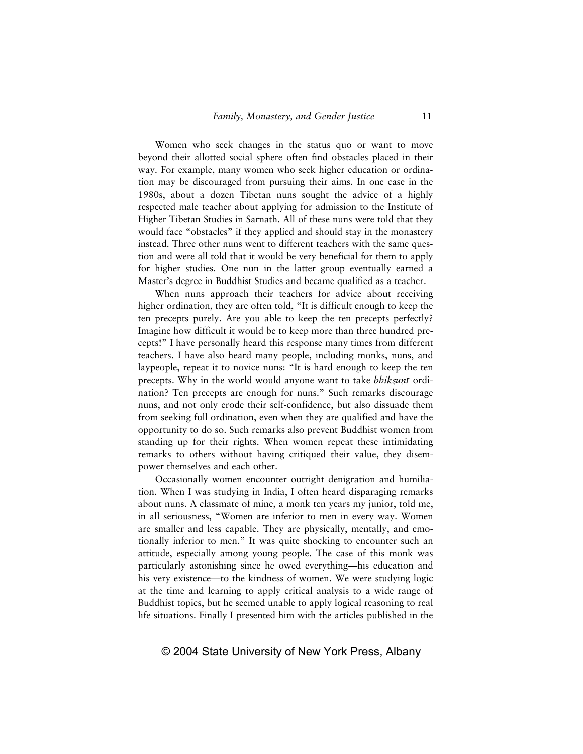Women who seek changes in the status quo or want to move beyond their allotted social sphere often find obstacles placed in their way. For example, many women who seek higher education or ordination may be discouraged from pursuing their aims. In one case in the 1980s, about a dozen Tibetan nuns sought the advice of a highly respected male teacher about applying for admission to the Institute of Higher Tibetan Studies in Sarnath. All of these nuns were told that they would face "obstacles" if they applied and should stay in the monastery instead. Three other nuns went to different teachers with the same question and were all told that it would be very beneficial for them to apply for higher studies. One nun in the latter group eventually earned a Master's degree in Buddhist Studies and became qualified as a teacher.

When nuns approach their teachers for advice about receiving higher ordination, they are often told, "It is difficult enough to keep the ten precepts purely. Are you able to keep the ten precepts perfectly? Imagine how difficult it would be to keep more than three hundred precepts!" I have personally heard this response many times from different teachers. I have also heard many people, including monks, nuns, and laypeople, repeat it to novice nuns: "It is hard enough to keep the ten precepts. Why in the world would anyone want to take *bhiksunt* ordination? Ten precepts are enough for nuns." Such remarks discourage nuns, and not only erode their self-confidence, but also dissuade them from seeking full ordination, even when they are qualified and have the opportunity to do so. Such remarks also prevent Buddhist women from standing up for their rights. When women repeat these intimidating remarks to others without having critiqued their value, they disempower themselves and each other.

Occasionally women encounter outright denigration and humiliation. When I was studying in India, I often heard disparaging remarks about nuns. A classmate of mine, a monk ten years my junior, told me, in all seriousness, "Women are inferior to men in every way. Women are smaller and less capable. They are physically, mentally, and emotionally inferior to men." It was quite shocking to encounter such an attitude, especially among young people. The case of this monk was particularly astonishing since he owed everything—his education and his very existence—to the kindness of women. We were studying logic at the time and learning to apply critical analysis to a wide range of Buddhist topics, but he seemed unable to apply logical reasoning to real life situations. Finally I presented him with the articles published in the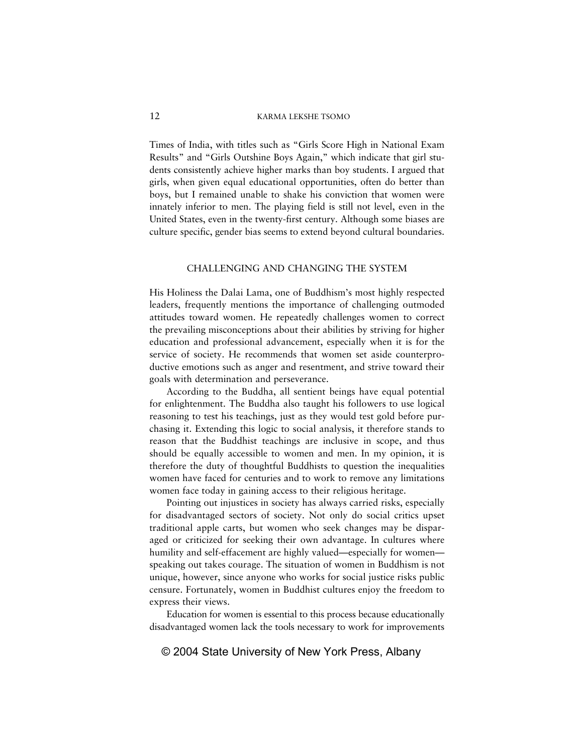Times of India, with titles such as "Girls Score High in National Exam Results" and "Girls Outshine Boys Again," which indicate that girl students consistently achieve higher marks than boy students. I argued that girls, when given equal educational opportunities, often do better than boys, but I remained unable to shake his conviction that women were innately inferior to men. The playing field is still not level, even in the United States, even in the twenty-first century. Although some biases are culture specific, gender bias seems to extend beyond cultural boundaries.

### CHALLENGING AND CHANGING THE SYSTEM

His Holiness the Dalai Lama, one of Buddhism's most highly respected leaders, frequently mentions the importance of challenging outmoded attitudes toward women. He repeatedly challenges women to correct the prevailing misconceptions about their abilities by striving for higher education and professional advancement, especially when it is for the service of society. He recommends that women set aside counterproductive emotions such as anger and resentment, and strive toward their goals with determination and perseverance.

According to the Buddha, all sentient beings have equal potential for enlightenment. The Buddha also taught his followers to use logical reasoning to test his teachings, just as they would test gold before purchasing it. Extending this logic to social analysis, it therefore stands to reason that the Buddhist teachings are inclusive in scope, and thus should be equally accessible to women and men. In my opinion, it is therefore the duty of thoughtful Buddhists to question the inequalities women have faced for centuries and to work to remove any limitations women face today in gaining access to their religious heritage.

Pointing out injustices in society has always carried risks, especially for disadvantaged sectors of society. Not only do social critics upset traditional apple carts, but women who seek changes may be disparaged or criticized for seeking their own advantage. In cultures where humility and self-effacement are highly valued—especially for women speaking out takes courage. The situation of women in Buddhism is not unique, however, since anyone who works for social justice risks public censure. Fortunately, women in Buddhist cultures enjoy the freedom to express their views.

Education for women is essential to this process because educationally disadvantaged women lack the tools necessary to work for improvements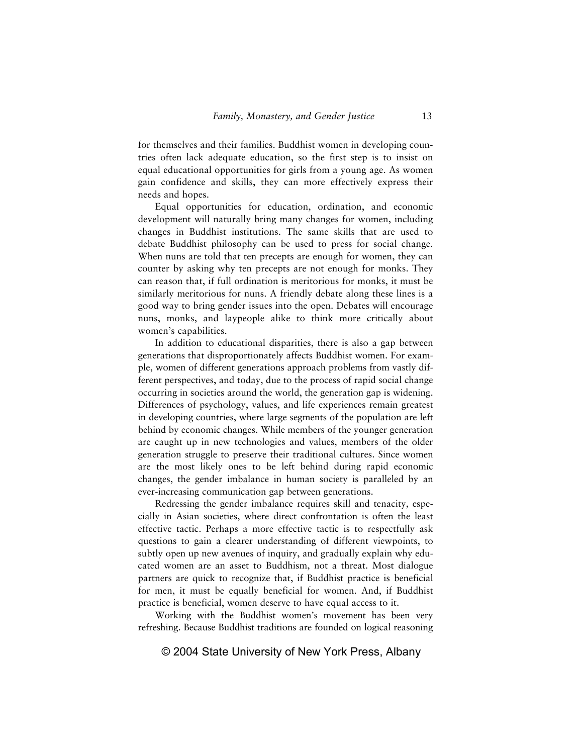for themselves and their families. Buddhist women in developing countries often lack adequate education, so the first step is to insist on equal educational opportunities for girls from a young age. As women gain confidence and skills, they can more effectively express their needs and hopes.

Equal opportunities for education, ordination, and economic development will naturally bring many changes for women, including changes in Buddhist institutions. The same skills that are used to debate Buddhist philosophy can be used to press for social change. When nuns are told that ten precepts are enough for women, they can counter by asking why ten precepts are not enough for monks. They can reason that, if full ordination is meritorious for monks, it must be similarly meritorious for nuns. A friendly debate along these lines is a good way to bring gender issues into the open. Debates will encourage nuns, monks, and laypeople alike to think more critically about women's capabilities.

In addition to educational disparities, there is also a gap between generations that disproportionately affects Buddhist women. For example, women of different generations approach problems from vastly different perspectives, and today, due to the process of rapid social change occurring in societies around the world, the generation gap is widening. Differences of psychology, values, and life experiences remain greatest in developing countries, where large segments of the population are left behind by economic changes. While members of the younger generation are caught up in new technologies and values, members of the older generation struggle to preserve their traditional cultures. Since women are the most likely ones to be left behind during rapid economic changes, the gender imbalance in human society is paralleled by an ever-increasing communication gap between generations.

Redressing the gender imbalance requires skill and tenacity, especially in Asian societies, where direct confrontation is often the least effective tactic. Perhaps a more effective tactic is to respectfully ask questions to gain a clearer understanding of different viewpoints, to subtly open up new avenues of inquiry, and gradually explain why educated women are an asset to Buddhism, not a threat. Most dialogue partners are quick to recognize that, if Buddhist practice is beneficial for men, it must be equally beneficial for women. And, if Buddhist practice is beneficial, women deserve to have equal access to it.

Working with the Buddhist women's movement has been very refreshing. Because Buddhist traditions are founded on logical reasoning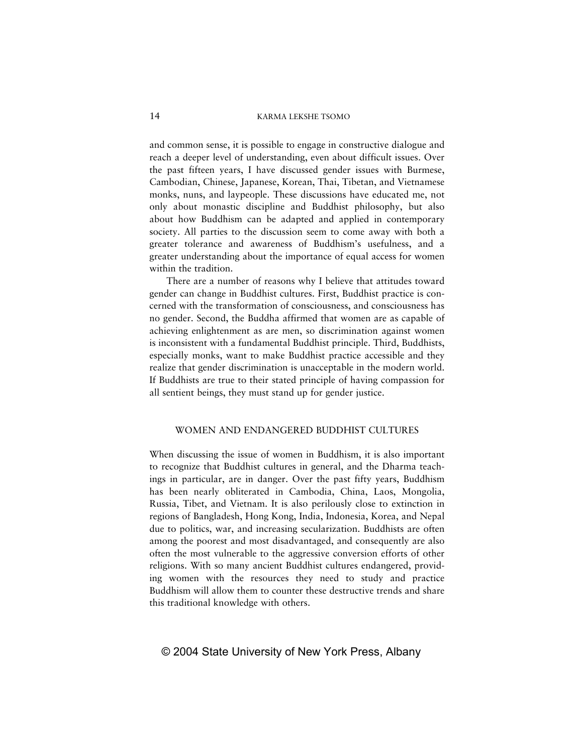and common sense, it is possible to engage in constructive dialogue and reach a deeper level of understanding, even about difficult issues. Over the past fifteen years, I have discussed gender issues with Burmese, Cambodian, Chinese, Japanese, Korean, Thai, Tibetan, and Vietnamese monks, nuns, and laypeople. These discussions have educated me, not only about monastic discipline and Buddhist philosophy, but also about how Buddhism can be adapted and applied in contemporary society. All parties to the discussion seem to come away with both a greater tolerance and awareness of Buddhism's usefulness, and a greater understanding about the importance of equal access for women within the tradition.

There are a number of reasons why I believe that attitudes toward gender can change in Buddhist cultures. First, Buddhist practice is concerned with the transformation of consciousness, and consciousness has no gender. Second, the Buddha affirmed that women are as capable of achieving enlightenment as are men, so discrimination against women is inconsistent with a fundamental Buddhist principle. Third, Buddhists, especially monks, want to make Buddhist practice accessible and they realize that gender discrimination is unacceptable in the modern world. If Buddhists are true to their stated principle of having compassion for all sentient beings, they must stand up for gender justice.

### WOMEN AND ENDANGERED BUDDHIST CULTURES

When discussing the issue of women in Buddhism, it is also important to recognize that Buddhist cultures in general, and the Dharma teachings in particular, are in danger. Over the past fifty years, Buddhism has been nearly obliterated in Cambodia, China, Laos, Mongolia, Russia, Tibet, and Vietnam. It is also perilously close to extinction in regions of Bangladesh, Hong Kong, India, Indonesia, Korea, and Nepal due to politics, war, and increasing secularization. Buddhists are often among the poorest and most disadvantaged, and consequently are also often the most vulnerable to the aggressive conversion efforts of other religions. With so many ancient Buddhist cultures endangered, providing women with the resources they need to study and practice Buddhism will allow them to counter these destructive trends and share this traditional knowledge with others.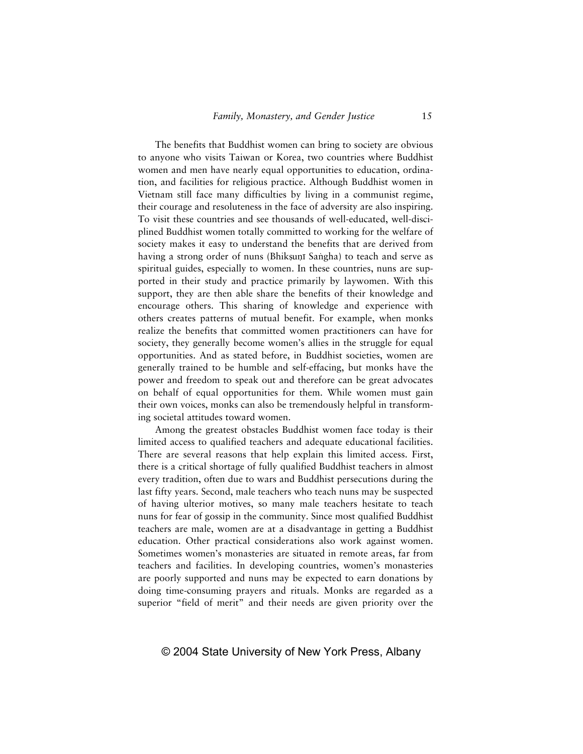The benefits that Buddhist women can bring to society are obvious to anyone who visits Taiwan or Korea, two countries where Buddhist women and men have nearly equal opportunities to education, ordination, and facilities for religious practice. Although Buddhist women in Vietnam still face many difficulties by living in a communist regime, their courage and resoluteness in the face of adversity are also inspiring. To visit these countries and see thousands of well-educated, well-disciplined Buddhist women totally committed to working for the welfare of society makes it easy to understand the benefits that are derived from having a strong order of nuns (Bhikṣuṇī Saṅgha) to teach and serve as<br>spiritual quides, consoially to yuoman. In these countries, nuns are sup spiritual guides, especially to women. In these countries, nuns are supported in their study and practice primarily by laywomen. With this support, they are then able share the benefits of their knowledge and encourage others. This sharing of knowledge and experience with others creates patterns of mutual benefit. For example, when monks realize the benefits that committed women practitioners can have for society, they generally become women's allies in the struggle for equal opportunities. And as stated before, in Buddhist societies, women are generally trained to be humble and self-effacing, but monks have the power and freedom to speak out and therefore can be great advocates on behalf of equal opportunities for them. While women must gain their own voices, monks can also be tremendously helpful in transforming societal attitudes toward women.

Among the greatest obstacles Buddhist women face today is their limited access to qualified teachers and adequate educational facilities. There are several reasons that help explain this limited access. First, there is a critical shortage of fully qualified Buddhist teachers in almost every tradition, often due to wars and Buddhist persecutions during the last fifty years. Second, male teachers who teach nuns may be suspected of having ulterior motives, so many male teachers hesitate to teach nuns for fear of gossip in the community. Since most qualified Buddhist teachers are male, women are at a disadvantage in getting a Buddhist education. Other practical considerations also work against women. Sometimes women's monasteries are situated in remote areas, far from teachers and facilities. In developing countries, women's monasteries are poorly supported and nuns may be expected to earn donations by doing time-consuming prayers and rituals. Monks are regarded as a superior "field of merit" and their needs are given priority over the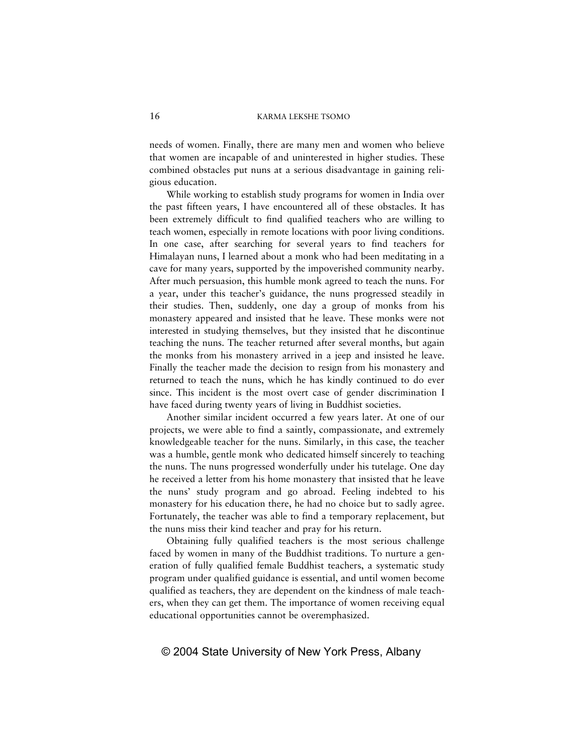needs of women. Finally, there are many men and women who believe that women are incapable of and uninterested in higher studies. These combined obstacles put nuns at a serious disadvantage in gaining religious education.

While working to establish study programs for women in India over the past fifteen years, I have encountered all of these obstacles. It has been extremely difficult to find qualified teachers who are willing to teach women, especially in remote locations with poor living conditions. In one case, after searching for several years to find teachers for Himalayan nuns, I learned about a monk who had been meditating in a cave for many years, supported by the impoverished community nearby. After much persuasion, this humble monk agreed to teach the nuns. For a year, under this teacher's guidance, the nuns progressed steadily in their studies. Then, suddenly, one day a group of monks from his monastery appeared and insisted that he leave. These monks were not interested in studying themselves, but they insisted that he discontinue teaching the nuns. The teacher returned after several months, but again the monks from his monastery arrived in a jeep and insisted he leave. Finally the teacher made the decision to resign from his monastery and returned to teach the nuns, which he has kindly continued to do ever since. This incident is the most overt case of gender discrimination I have faced during twenty years of living in Buddhist societies.

Another similar incident occurred a few years later. At one of our projects, we were able to find a saintly, compassionate, and extremely knowledgeable teacher for the nuns. Similarly, in this case, the teacher was a humble, gentle monk who dedicated himself sincerely to teaching the nuns. The nuns progressed wonderfully under his tutelage. One day he received a letter from his home monastery that insisted that he leave the nuns' study program and go abroad. Feeling indebted to his monastery for his education there, he had no choice but to sadly agree. Fortunately, the teacher was able to find a temporary replacement, but the nuns miss their kind teacher and pray for his return.

Obtaining fully qualified teachers is the most serious challenge faced by women in many of the Buddhist traditions. To nurture a generation of fully qualified female Buddhist teachers, a systematic study program under qualified guidance is essential, and until women become qualified as teachers, they are dependent on the kindness of male teachers, when they can get them. The importance of women receiving equal educational opportunities cannot be overemphasized.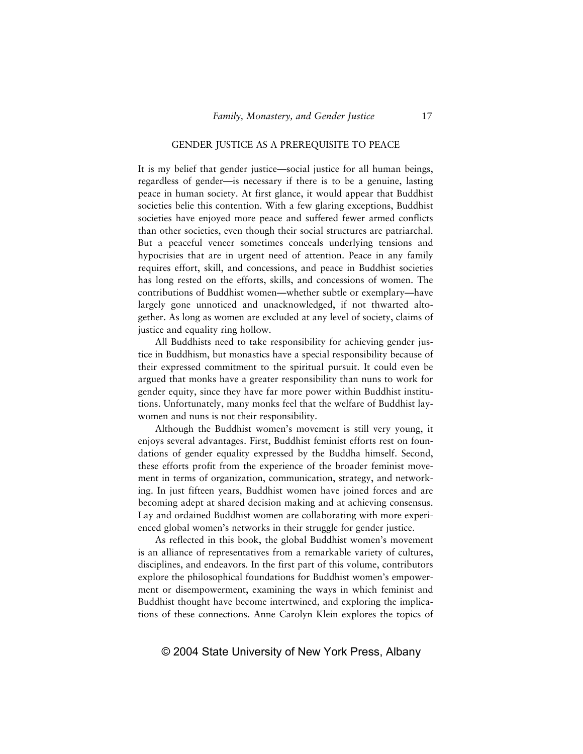### GENDER JUSTICE AS A PREREQUISITE TO PEACE

It is my belief that gender justice—social justice for all human beings, regardless of gender—is necessary if there is to be a genuine, lasting peace in human society. At first glance, it would appear that Buddhist societies belie this contention. With a few glaring exceptions, Buddhist societies have enjoyed more peace and suffered fewer armed conflicts than other societies, even though their social structures are patriarchal. But a peaceful veneer sometimes conceals underlying tensions and hypocrisies that are in urgent need of attention. Peace in any family requires effort, skill, and concessions, and peace in Buddhist societies has long rested on the efforts, skills, and concessions of women. The contributions of Buddhist women—whether subtle or exemplary—have largely gone unnoticed and unacknowledged, if not thwarted altogether. As long as women are excluded at any level of society, claims of justice and equality ring hollow.

All Buddhists need to take responsibility for achieving gender justice in Buddhism, but monastics have a special responsibility because of their expressed commitment to the spiritual pursuit. It could even be argued that monks have a greater responsibility than nuns to work for gender equity, since they have far more power within Buddhist institutions. Unfortunately, many monks feel that the welfare of Buddhist laywomen and nuns is not their responsibility.

Although the Buddhist women's movement is still very young, it enjoys several advantages. First, Buddhist feminist efforts rest on foundations of gender equality expressed by the Buddha himself. Second, these efforts profit from the experience of the broader feminist movement in terms of organization, communication, strategy, and networking. In just fifteen years, Buddhist women have joined forces and are becoming adept at shared decision making and at achieving consensus. Lay and ordained Buddhist women are collaborating with more experienced global women's networks in their struggle for gender justice.

As reflected in this book, the global Buddhist women's movement is an alliance of representatives from a remarkable variety of cultures, disciplines, and endeavors. In the first part of this volume, contributors explore the philosophical foundations for Buddhist women's empowerment or disempowerment, examining the ways in which feminist and Buddhist thought have become intertwined, and exploring the implications of these connections. Anne Carolyn Klein explores the topics of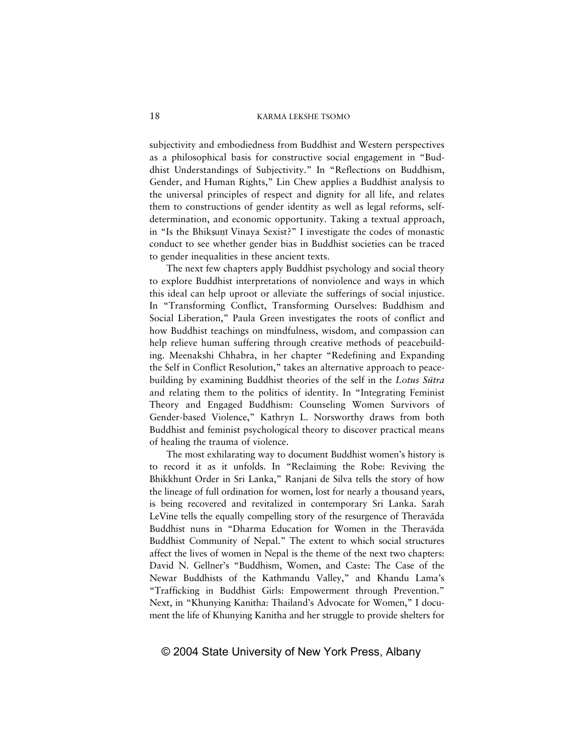subjectivity and embodiedness from Buddhist and Western perspectives as a philosophical basis for constructive social engagement in "Buddhist Understandings of Subjectivity." In "Reflections on Buddhism, Gender, and Human Rights," Lin Chew applies a Buddhist analysis to the universal principles of respect and dignity for all life, and relates them to constructions of gender identity as well as legal reforms, selfdetermination, and economic opportunity. Taking a textual approach, in "Is the Bhiksunī Vinaya Sexist?" I investigate the codes of monastic<br>conduct to see whether gander hise in Buddhist societies on he traced conduct to see whether gender bias in Buddhist societies can be traced to gender inequalities in these ancient texts.

The next few chapters apply Buddhist psychology and social theory to explore Buddhist interpretations of nonviolence and ways in which this ideal can help uproot or alleviate the sufferings of social injustice. In "Transforming Conflict, Transforming Ourselves: Buddhism and Social Liberation," Paula Green investigates the roots of conflict and how Buddhist teachings on mindfulness, wisdom, and compassion can help relieve human suffering through creative methods of peacebuilding. Meenakshi Chhabra, in her chapter "Redefining and Expanding the Self in Conflict Resolution," takes an alternative approach to peacebuilding by examining Buddhist theories of the self in the *Lotus Sutra* and relating them to the politics of identity. In "Integrating Feminist Theory and Engaged Buddhism: Counseling Women Survivors of Gender-based Violence," Kathryn L. Norsworthy draws from both Buddhist and feminist psychological theory to discover practical means of healing the trauma of violence.

The most exhilarating way to document Buddhist women's history is to record it as it unfolds. In "Reclaiming the Robe: Reviving the Bhikkhunī Order in Sri Lanka," Ranjani de Silva tells the story of how the lineage of full ordination for women, lost for nearly a thousand years, is being recovered and revitalized in contemporary Sri Lanka. Sarah LeVine tells the equally compelling story of the resurgence of Theravada Buddhist nuns in "Dharma Education for Women in the Theravada Buddhist Community of Nepal." The extent to which social structures affect the lives of women in Nepal is the theme of the next two chapters: David N. Gellner's "Buddhism, Women, and Caste: The Case of the Newar Buddhists of the Kathmandu Valley," and Khandu Lama's "Trafficking in Buddhist Girls: Empowerment through Prevention." Next, in "Khunying Kanitha: Thailand's Advocate for Women," I document the life of Khunying Kanitha and her struggle to provide shelters for